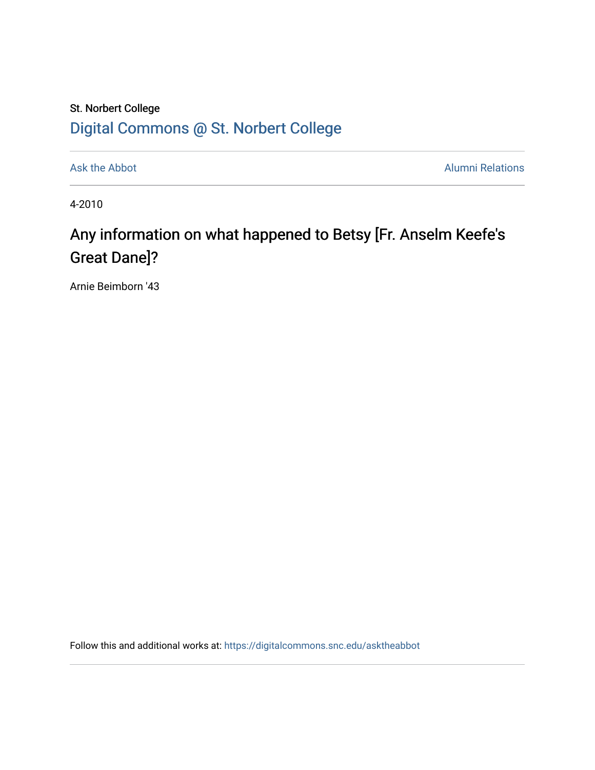## St. Norbert College [Digital Commons @ St. Norbert College](https://digitalcommons.snc.edu/)

[Ask the Abbot](https://digitalcommons.snc.edu/asktheabbot) **Alumni Relations** Alumni Relations

4-2010

## Any information on what happened to Betsy [Fr. Anselm Keefe's Great Dane]?

Arnie Beimborn '43

Follow this and additional works at: [https://digitalcommons.snc.edu/asktheabbot](https://digitalcommons.snc.edu/asktheabbot?utm_source=digitalcommons.snc.edu%2Fasktheabbot%2F36&utm_medium=PDF&utm_campaign=PDFCoverPages)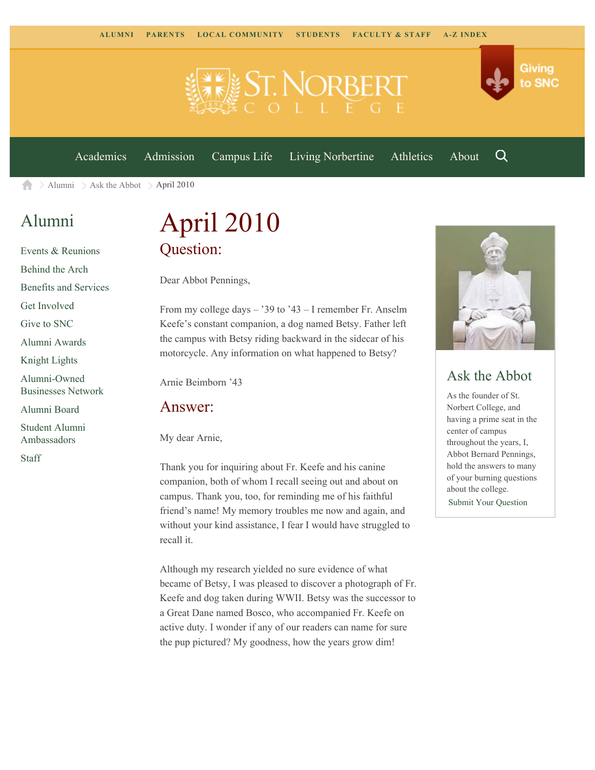

[Academics](https://www.snc.edu/academics) [Admission](https://www.snc.edu/admission) [Campus Life](https://www.snc.edu/campuslife) [Living Norbertine](https://www.snc.edu/livingnorbertine) [Athletics](https://www.snc.edu/athletics) [About](https://www.snc.edu/about)

Q

Giving

to SNC

 $\ge$  [Alumni](https://www.snc.edu/alumni/)  $\ge$  [Ask the Abbot](https://www.snc.edu/alumni/abbot/)  $\ge$  April 2010 A

## [Alumni](https://www.snc.edu/alumni/index.html)

[Events & Reunions](https://www.snc.edu/alumni/event/index.html) [Behind the Arch](https://www.snc.edu/alumni/event/behindthearch/) [Benefits and Services](https://www.snc.edu/alumni/benefits.html) [Get Involved](https://www.snc.edu/alumni/getinvolved.html) [Give to SNC](http://giving.snc.edu/) [Alumni Awards](https://www.snc.edu/alumni/awards/index.html) [Knight Lights](https://www.snc.edu/alumni/knightlights/index.html) [Alumni-Owned](https://www.snc.edu/alumni/directory/index.html) [Businesses Network](https://www.snc.edu/alumni/directory/index.html) [Alumni Board](https://www.snc.edu/alumni/alumniboard.html) [Student Alumni](https://www.snc.edu/alumni/saa.html) [Ambassadors](https://www.snc.edu/alumni/saa.html)

[Staff](https://www.snc.edu/alumni/contactus.html)

# April 2010 Question:

Dear Abbot Pennings,

From my college days – '39 to '43 – I remember Fr. Anselm Keefe's constant companion, a dog named Betsy. Father left the campus with Betsy riding backward in the sidecar of his motorcycle. Any information on what happened to Betsy?

Arnie Beimborn '43

#### Answer:

My dear Arnie,

Thank you for inquiring about Fr. Keefe and his canine companion, both of whom I recall seeing out and about on campus. Thank you, too, for reminding me of his faithful friend's name! My memory troubles me now and again, and without your kind assistance, I fear I would have struggled to recall it.

Although my research yielded no sure evidence of what became of Betsy, I was pleased to discover a photograph of Fr. Keefe and dog taken during WWII. Betsy was the successor to a Great Dane named Bosco, who accompanied Fr. Keefe on active duty. I wonder if any of our readers can name for sure the pup pictured? My goodness, how the years grow dim!



### Ask the Abbot

As the founder of St. Norbert College, and having a prime seat in the center of campus throughout the years, I, Abbot Bernard Pennings, hold the answers to many of your burning questions about the college. [Submit Your Question](https://www.snc.edu/alumni/abbot/index.html)